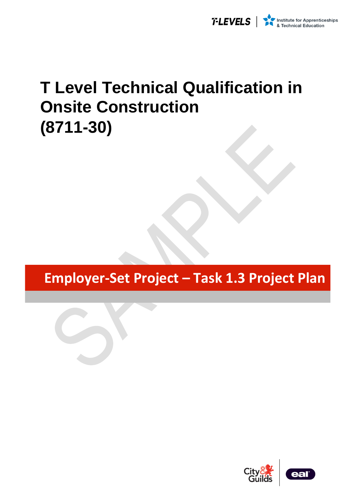

# **T Level Technical Qualification in Onsite Construction (8711-30)**

**Employer-Set Project – Task 1.3 Project Plan**



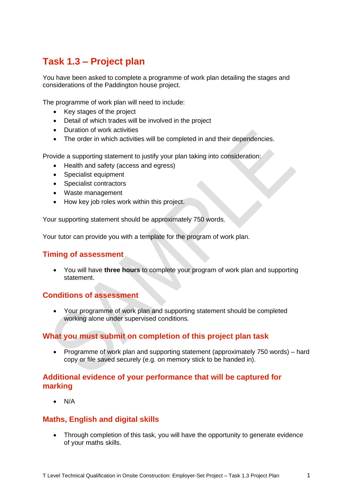## **Task 1.3 – Project plan**

You have been asked to complete a programme of work plan detailing the stages and considerations of the Paddington house project.

The programme of work plan will need to include:

- Key stages of the project
- Detail of which trades will be involved in the project
- Duration of work activities
- The order in which activities will be completed in and their dependencies.

Provide a supporting statement to justify your plan taking into consideration:

- Health and safety (access and egress)
- Specialist equipment
- Specialist contractors
- Waste management
- How key job roles work within this project.

Your supporting statement should be approximately 750 words.

Your tutor can provide you with a template for the program of work plan.

#### **Timing of assessment**

• You will have **three hours** to complete your program of work plan and supporting statement.

#### **Conditions of assessment**

• Your programme of work plan and supporting statement should be completed working alone under supervised conditions.

#### **What you must submit on completion of this project plan task**

• Programme of work plan and supporting statement (approximately 750 words) – hard copy or file saved securely (e.g. on memory stick to be handed in).

#### **Additional evidence of your performance that will be captured for marking**

• N/A

### **Maths, English and digital skills**

• Through completion of this task, you will have the opportunity to generate evidence of your maths skills.